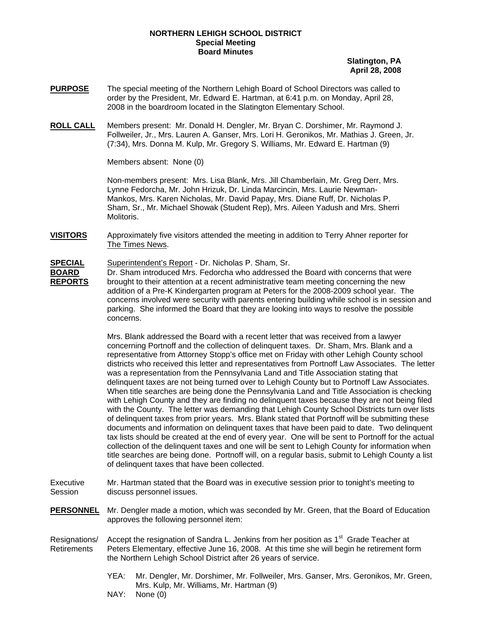## **NORTHERN LEHIGH SCHOOL DISTRICT Special Meeting Board Minutes**

**Slatington, PA April 28, 2008**

- **PURPOSE** The special meeting of the Northern Lehigh Board of School Directors was called to order by the President, Mr. Edward E. Hartman, at 6:41 p.m. on Monday, April 28, 2008 in the boardroom located in the Slatington Elementary School.
- **ROLL CALL** Members present: Mr. Donald H. Dengler, Mr. Bryan C. Dorshimer, Mr. Raymond J. Follweiler, Jr., Mrs. Lauren A. Ganser, Mrs. Lori H. Geronikos, Mr. Mathias J. Green, Jr. (7:34), Mrs. Donna M. Kulp, Mr. Gregory S. Williams, Mr. Edward E. Hartman (9)

Members absent: None (0)

Non-members present: Mrs. Lisa Blank, Mrs. Jill Chamberlain, Mr. Greg Derr, Mrs. Lynne Fedorcha, Mr. John Hrizuk, Dr. Linda Marcincin, Mrs. Laurie Newman-Mankos, Mrs. Karen Nicholas, Mr. David Papay, Mrs. Diane Ruff, Dr. Nicholas P. Sham, Sr., Mr. Michael Showak (Student Rep), Mrs. Aileen Yadush and Mrs. Sherri Molitoris.

**VISITORS** Approximately five visitors attended the meeting in addition to Terry Ahner reporter for The Times News.

## **SPECIAL** Superintendent's Report - Dr. Nicholas P. Sham, Sr.

**BOARD** Dr. Sham introduced Mrs. Fedorcha who addressed the Board with concerns that were **REPORTS** brought to their attention at a recent administrative team meeting concerning the new addition of a Pre-K Kindergarten program at Peters for the 2008-2009 school year. The concerns involved were security with parents entering building while school is in session and parking. She informed the Board that they are looking into ways to resolve the possible concerns.

> Mrs. Blank addressed the Board with a recent letter that was received from a lawyer concerning Portnoff and the collection of delinquent taxes. Dr. Sham, Mrs. Blank and a representative from Attorney Stopp's office met on Friday with other Lehigh County school districts who received this letter and representatives from Portnoff Law Associates. The letter was a representation from the Pennsylvania Land and Title Association stating that delinquent taxes are not being turned over to Lehigh County but to Portnoff Law Associates. When title searches are being done the Pennsylvania Land and Title Association is checking with Lehigh County and they are finding no delinquent taxes because they are not being filed with the County. The letter was demanding that Lehigh County School Districts turn over lists of delinquent taxes from prior years. Mrs. Blank stated that Portnoff will be submitting these documents and information on delinquent taxes that have been paid to date. Two delinquent tax lists should be created at the end of every year. One will be sent to Portnoff for the actual collection of the delinquent taxes and one will be sent to Lehigh County for information when title searches are being done. Portnoff will, on a regular basis, submit to Lehigh County a list of delinquent taxes that have been collected.

Executive Mr. Hartman stated that the Board was in executive session prior to tonight's meeting to Session discuss personnel issues.

- **PERSONNEL** Mr. Dengler made a motion, which was seconded by Mr. Green, that the Board of Education approves the following personnel item:
- Resignations/ Accept the resignation of Sandra L. Jenkins from her position as 1<sup>st</sup> Grade Teacher at Retirements Peters Elementary, effective June 16, 2008. At this time she will begin he retirement form the Northern Lehigh School District after 26 years of service.
	- YEA: Mr. Dengler, Mr. Dorshimer, Mr. Follweiler, Mrs. Ganser, Mrs. Geronikos, Mr. Green, Mrs. Kulp, Mr. Williams, Mr. Hartman (9)
	- NAY: None (0)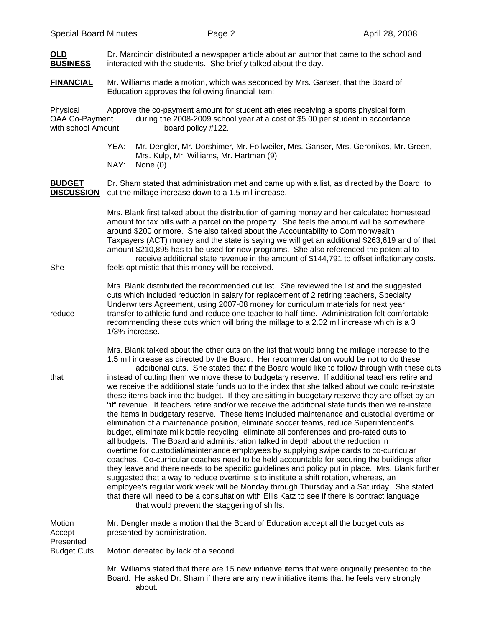| OLD<br><b>BUSINESS</b>                           | Dr. Marcincin distributed a newspaper article about an author that came to the school and<br>interacted with the students. She briefly talked about the day.                                                                                                                                                                                                                                                                                                                                                                                                                                                                                                                                                                                                                                                                                                                                                                                                                                                                                                                                                                                                                                                                                                                                                                                                                                                                                                                                                                                                                                                                                                                                                   |
|--------------------------------------------------|----------------------------------------------------------------------------------------------------------------------------------------------------------------------------------------------------------------------------------------------------------------------------------------------------------------------------------------------------------------------------------------------------------------------------------------------------------------------------------------------------------------------------------------------------------------------------------------------------------------------------------------------------------------------------------------------------------------------------------------------------------------------------------------------------------------------------------------------------------------------------------------------------------------------------------------------------------------------------------------------------------------------------------------------------------------------------------------------------------------------------------------------------------------------------------------------------------------------------------------------------------------------------------------------------------------------------------------------------------------------------------------------------------------------------------------------------------------------------------------------------------------------------------------------------------------------------------------------------------------------------------------------------------------------------------------------------------------|
| <b>FINANCIAL</b>                                 | Mr. Williams made a motion, which was seconded by Mrs. Ganser, that the Board of<br>Education approves the following financial item:                                                                                                                                                                                                                                                                                                                                                                                                                                                                                                                                                                                                                                                                                                                                                                                                                                                                                                                                                                                                                                                                                                                                                                                                                                                                                                                                                                                                                                                                                                                                                                           |
| Physical<br>OAA Co-Payment<br>with school Amount | Approve the co-payment amount for student athletes receiving a sports physical form<br>during the 2008-2009 school year at a cost of \$5.00 per student in accordance<br>board policy #122.                                                                                                                                                                                                                                                                                                                                                                                                                                                                                                                                                                                                                                                                                                                                                                                                                                                                                                                                                                                                                                                                                                                                                                                                                                                                                                                                                                                                                                                                                                                    |
|                                                  | YEA:<br>Mr. Dengler, Mr. Dorshimer, Mr. Follweiler, Mrs. Ganser, Mrs. Geronikos, Mr. Green,<br>Mrs. Kulp, Mr. Williams, Mr. Hartman (9)<br>NAY:<br>None $(0)$                                                                                                                                                                                                                                                                                                                                                                                                                                                                                                                                                                                                                                                                                                                                                                                                                                                                                                                                                                                                                                                                                                                                                                                                                                                                                                                                                                                                                                                                                                                                                  |
| <b>BUDGET</b><br><b>DISCUSSION</b>               | Dr. Sham stated that administration met and came up with a list, as directed by the Board, to<br>cut the millage increase down to a 1.5 mil increase.                                                                                                                                                                                                                                                                                                                                                                                                                                                                                                                                                                                                                                                                                                                                                                                                                                                                                                                                                                                                                                                                                                                                                                                                                                                                                                                                                                                                                                                                                                                                                          |
| She                                              | Mrs. Blank first talked about the distribution of gaming money and her calculated homestead<br>amount for tax bills with a parcel on the property. She feels the amount will be somewhere<br>around \$200 or more. She also talked about the Accountability to Commonwealth<br>Taxpayers (ACT) money and the state is saying we will get an additional \$263,619 and of that<br>amount \$210,895 has to be used for new programs. She also referenced the potential to<br>receive additional state revenue in the amount of \$144,791 to offset inflationary costs.<br>feels optimistic that this money will be received.                                                                                                                                                                                                                                                                                                                                                                                                                                                                                                                                                                                                                                                                                                                                                                                                                                                                                                                                                                                                                                                                                      |
| reduce                                           | Mrs. Blank distributed the recommended cut list. She reviewed the list and the suggested<br>cuts which included reduction in salary for replacement of 2 retiring teachers, Specialty<br>Underwriters Agreement, using 2007-08 money for curriculum materials for next year,<br>transfer to athletic fund and reduce one teacher to half-time. Administration felt comfortable<br>recommending these cuts which will bring the millage to a 2.02 mil increase which is a 3<br>1/3% increase.                                                                                                                                                                                                                                                                                                                                                                                                                                                                                                                                                                                                                                                                                                                                                                                                                                                                                                                                                                                                                                                                                                                                                                                                                   |
| that                                             | Mrs. Blank talked about the other cuts on the list that would bring the millage increase to the<br>1.5 mil increase as directed by the Board. Her recommendation would be not to do these<br>additional cuts. She stated that if the Board would like to follow through with these cuts<br>instead of cutting them we move these to budgetary reserve. If additional teachers retire and<br>we receive the additional state funds up to the index that she talked about we could re-instate<br>these items back into the budget. If they are sitting in budgetary reserve they are offset by an<br>"if" revenue. If teachers retire and/or we receive the additional state funds then we re-instate<br>the items in budgetary reserve. These items included maintenance and custodial overtime or<br>elimination of a maintenance position, eliminate soccer teams, reduce Superintendent's<br>budget, eliminate milk bottle recycling, eliminate all conferences and pro-rated cuts to<br>all budgets. The Board and administration talked in depth about the reduction in<br>overtime for custodial/maintenance employees by supplying swipe cards to co-curricular<br>coaches. Co-curricular coaches need to be held accountable for securing the buildings after<br>they leave and there needs to be specific guidelines and policy put in place. Mrs. Blank further<br>suggested that a way to reduce overtime is to institute a shift rotation, whereas, an<br>employee's regular work week will be Monday through Thursday and a Saturday. She stated<br>that there will need to be a consultation with Ellis Katz to see if there is contract language<br>that would prevent the staggering of shifts. |
| Motion<br>Accept<br>Presented                    | Mr. Dengler made a motion that the Board of Education accept all the budget cuts as<br>presented by administration.                                                                                                                                                                                                                                                                                                                                                                                                                                                                                                                                                                                                                                                                                                                                                                                                                                                                                                                                                                                                                                                                                                                                                                                                                                                                                                                                                                                                                                                                                                                                                                                            |
| <b>Budget Cuts</b>                               | Motion defeated by lack of a second.<br>Mr. Williams stated that there are 15 new initiative items that were originally presented to the<br>Board. He asked Dr. Sham if there are any new initiative items that he feels very strongly<br>about.                                                                                                                                                                                                                                                                                                                                                                                                                                                                                                                                                                                                                                                                                                                                                                                                                                                                                                                                                                                                                                                                                                                                                                                                                                                                                                                                                                                                                                                               |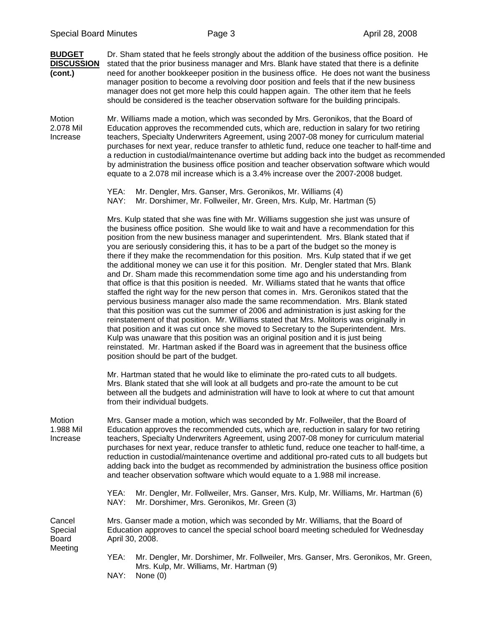**BUDGET** Dr. Sham stated that he feels strongly about the addition of the business office position. He **DISCUSSION** stated that the prior business manager and Mrs. Blank have stated that there is a definite **(cont.)** need for another bookkeeper position in the business office. He does not want the business manager position to become a revolving door position and feels that if the new business manager does not get more help this could happen again. The other item that he feels should be considered is the teacher observation software for the building principals.

Motion Mr. Williams made a motion, which was seconded by Mrs. Geronikos, that the Board of 2.078 Mil Education approves the recommended cuts, which are, reduction in salary for two retiring Increase teachers, Specialty Underwriters Agreement, using 2007-08 money for curriculum material purchases for next year, reduce transfer to athletic fund, reduce one teacher to half-time and a reduction in custodial/maintenance overtime but adding back into the budget as recommended by administration the business office position and teacher observation software which would equate to a 2.078 mil increase which is a 3.4% increase over the 2007-2008 budget.

```
YEA: Mr. Dengler, Mrs. Ganser, Mrs. Geronikos, Mr. Williams (4) 
NAY: Mr. Dorshimer, Mr. Follweiler, Mr. Green, Mrs. Kulp, Mr. Hartman (5)
```
Mrs. Kulp stated that she was fine with Mr. Williams suggestion she just was unsure of the business office position. She would like to wait and have a recommendation for this position from the new business manager and superintendent. Mrs. Blank stated that if you are seriously considering this, it has to be a part of the budget so the money is there if they make the recommendation for this position. Mrs. Kulp stated that if we get the additional money we can use it for this position. Mr. Dengler stated that Mrs. Blank and Dr. Sham made this recommendation some time ago and his understanding from that office is that this position is needed. Mr. Williams stated that he wants that office staffed the right way for the new person that comes in. Mrs. Geronikos stated that the pervious business manager also made the same recommendation. Mrs. Blank stated that this position was cut the summer of 2006 and administration is just asking for the reinstatement of that position. Mr. Williams stated that Mrs. Molitoris was originally in that position and it was cut once she moved to Secretary to the Superintendent. Mrs. Kulp was unaware that this position was an original position and it is just being reinstated. Mr. Hartman asked if the Board was in agreement that the business office position should be part of the budget.

Mr. Hartman stated that he would like to eliminate the pro-rated cuts to all budgets. Mrs. Blank stated that she will look at all budgets and pro-rate the amount to be cut between all the budgets and administration will have to look at where to cut that amount from their individual budgets.

Motion Mrs. Ganser made a motion, which was seconded by Mr. Follweiler, that the Board of 1.988 Mil Education approves the recommended cuts, which are, reduction in salary for two retiring Increase teachers, Specialty Underwriters Agreement, using 2007-08 money for curriculum material purchases for next year, reduce transfer to athletic fund, reduce one teacher to half-time, a reduction in custodial/maintenance overtime and additional pro-rated cuts to all budgets but adding back into the budget as recommended by administration the business office position and teacher observation software which would equate to a 1.988 mil increase.

> YEA: Mr. Dengler, Mr. Follweiler, Mrs. Ganser, Mrs. Kulp, Mr. Williams, Mr. Hartman (6) NAY: Mr. Dorshimer, Mrs. Geronikos, Mr. Green (3)

Cancel Mrs. Ganser made a motion, which was seconded by Mr. Williams, that the Board of Special Education approves to cancel the special school board meeting scheduled for Wednesday<br>Board April 30, 2008. April 30, 2008. Meeting

> YEA: Mr. Dengler, Mr. Dorshimer, Mr. Follweiler, Mrs. Ganser, Mrs. Geronikos, Mr. Green, Mrs. Kulp, Mr. Williams, Mr. Hartman (9)

NAY: None (0)